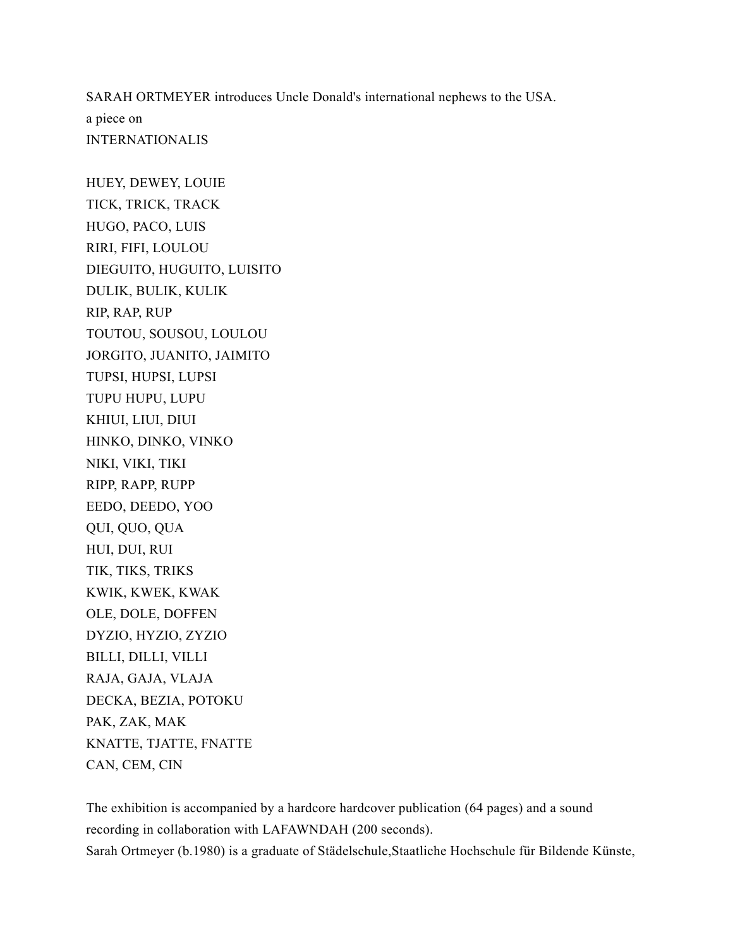SARAH ORTMEYER introduces Uncle Donald's international nephews to the USA. a piece on INTERNATIONALIS

HUEY, DEWEY, LOUIE TICK, TRICK, TRACK HUGO, PACO, LUIS RIRI, FIFI, LOULOU DIEGUITO, HUGUITO, LUISITO DULIK, BULIK, KULIK RIP, RAP, RUP TOUTOU, SOUSOU, LOULOU JORGITO, JUANITO, JAIMITO TUPSI, HUPSI, LUPSI TUPU HUPU, LUPU KHIUI, LIUI, DIUI HINKO, DINKO, VINKO NIKI, VIKI, TIKI RIPP, RAPP, RUPP EEDO, DEEDO, YOO QUI, QUO, QUA HUI, DUI, RUI TIK, TIKS, TRIKS KWIK, KWEK, KWAK OLE, DOLE, DOFFEN DYZIO, HYZIO, ZYZIO BILLI, DILLI, VILLI RAJA, GAJA, VLAJA DECKA, BEZIA, POTOKU PAK, ZAK, MAK KNATTE, TJATTE, FNATTE CAN, CEM, CIN

The exhibition is accompanied by a hardcore hardcover publication (64 pages) and a sound recording in collaboration with LAFAWNDAH (200 seconds). Sarah Ortmeyer (b.1980) is a graduate of Städelschule,Staatliche Hochschule für Bildende Künste,